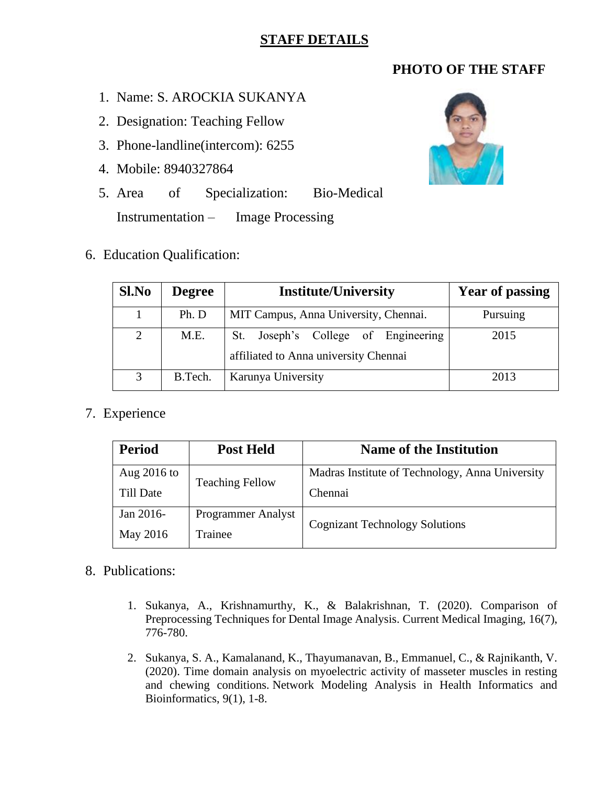## **STAFF DETAILS**

# **PHOTO OF THE STAFF**

- 1. Name: S. AROCKIA SUKANYA
- 2. Designation: Teaching Fellow
- 3. Phone-landline(intercom): 6255
- 4. Mobile: 8940327864
- 5. Area of Specialization: Bio-Medical Instrumentation – Image Processing
- 6. Education Qualification:



| Sl.No | <b>Degree</b> | <b>Institute/University</b>                                                     | <b>Year of passing</b> |
|-------|---------------|---------------------------------------------------------------------------------|------------------------|
|       | Ph. D         | MIT Campus, Anna University, Chennai.                                           | Pursuing               |
| 2     | M.E.          | Joseph's College of Engineering<br>St.<br>affiliated to Anna university Chennai | 2015                   |
| 3     | B.Tech.       | Karunya University                                                              | 2013                   |

## 7. Experience

| <b>Period</b> | <b>Post Held</b>          | <b>Name of the Institution</b>                  |  |
|---------------|---------------------------|-------------------------------------------------|--|
| Aug $2016$ to |                           | Madras Institute of Technology, Anna University |  |
| Till Date     | <b>Teaching Fellow</b>    | Chennai                                         |  |
| Jan 2016-     | <b>Programmer Analyst</b> | <b>Cognizant Technology Solutions</b>           |  |
| May 2016      | Trainee                   |                                                 |  |

### 8. Publications:

- 1. Sukanya, A., Krishnamurthy, K., & Balakrishnan, T. (2020). Comparison of Preprocessing Techniques for Dental Image Analysis. Current Medical Imaging, 16(7), 776-780.
- 2. Sukanya, S. A., Kamalanand, K., Thayumanavan, B., Emmanuel, C., & Rajnikanth, V. (2020). Time domain analysis on myoelectric activity of masseter muscles in resting and chewing conditions. Network Modeling Analysis in Health Informatics and Bioinformatics, 9(1), 1-8.